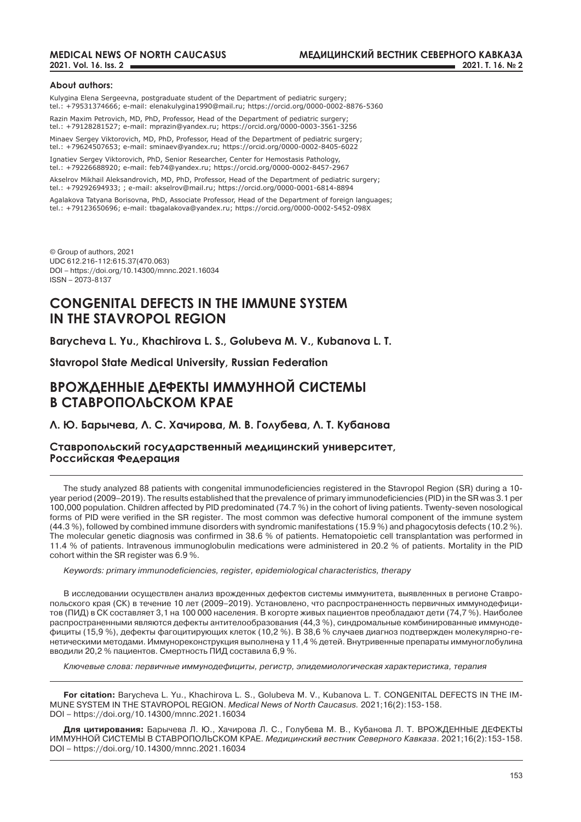### **About authors:**

Kulygina Elena Sergeevna, postgraduate student of the Department of pediatric surgery; tel.: +79531374666; e-mail: elenakulygina1990@mail.ru; https://orcid.org/0000-0002-8876-5360

Razin Maxim Petrovich, MD, PhD, Professor, Head of the Department of pediatric surgery; tel.: +79128281527; e-mail: mprazin@yandex.ru; https://orcid.org/0000-0003-3561-3256

Minaev Sergey Viktorovich, MD, PhD, Professor, Head of the Department of pediatric surgery; tel.: +79624507653; e-mail: sminaev@yandex.ru; https://orcid.org/0000-0002-8405-6022

Ignatiev Sergey Viktorovich, PhD, Senior Researcher, Center for Hemostasis Pathology, tel.: +79226688920; e-mail: feb74@yandex.ru; https://orcid.org/0000-0002-8457-2967

Akselrov Mikhail Aleksandrovich, MD, PhD, Professor, Head of the Department of pediatric surgery; tel.: +79292694933; ; e-mail: akselrov@mail.ru; https://orcid.org/0000-0001-6814-8894

Agalakova Tatyana Borisovna, PhD, Associate Professor, Head of the Department of foreign languages; tel.: +79123650696; e-mail: tbagalakova@yandex.ru; https://orcid.org/0000-0002-5452-098X

© Group of authors, 2021 UDC 612.216-112:615.37(470.063) DOI – https://doi.org/10.14300/mnnc.2021.16034 ISSN – 2073-8137

# **CONGENITAL DEFECTS IN THE IMMUNE SYSTEM IN THE STAVROPOL REGION**

**Barycheva L. Yu., Khachirova L. S., Golubeva M. V., Kubanova L. T.**

**Stavropol State Medical University, Russian Federation**

# **ВРОЖДЕННЫЕ ДЕФЕКТЫ ИММУННОЙ СИСТЕМЫ В СТАВРОПОЛЬСКОМ КРАЕ**

**Л. Ю. Барычева, Л. С. Хачирова, М. В. Голубева, Л. Т. Кубанова**

**Ставропольский государственный медицинский университет, Российская Федерация**

The study analyzed 88 patients with congenital immunodeficiencies registered in the Stavropol Region (SR) during a 10 year period (2009–2019). The results established that the prevalence of primary immunodeficiencies (PID) in the SR was 3.1 per 100,000 population. Children affected by PID predominated (74.7 %) in the cohort of living patients. Twenty-seven nosological forms of PID were verified in the SR register. The most common was defective humoral component of the immune system (44.3 %), followed by combined immune disorders with syndromic manifestations (15.9 %) and phagocytosis defects (10.2 %). The molecular genetic diagnosis was confirmed in 38.6 % of patients. Hematopoietic cell transplantation was performed in 11.4 % of patients. Intravenous immunoglobulin medications were administered in 20.2 % of patients. Mortality in the PID cohort within the SR register was 6.9 %.

*Keywords: primary immunodeficiencies, register, epidemiological characteristics, therapy*

В исследовании осуществлен анализ врожденных дефектов системы иммунитета, выявленных в регионе Ставропольского края (СК) в течение 10 лет (2009–2019). Установлено, что распространенность первичных иммунодефицитов (ПИД) в СК составляет 3,1 на 100 000 населения. В когорте живых пациентов преобладают дети (74,7 %). Наиболее распространенными являются дефекты антителообразования (44,3 %), синдромальные комбинированные иммунодефициты (15,9 %), дефекты фагоцитирующих клеток (10,2 %). В 38,6 % случаев диагноз подтвержден молекулярно-генетическими методами. Иммунореконструкция выполнена у 11,4 % детей. Внутривенные препараты иммуноглобулина вводили 20,2 % пациентов. Смертность ПИД составила 6,9 %.

*Ключевые слова: первичные иммунодефициты, регистр, эпидемиологическая характеристика, терапия*

**For citation:** Barycheva L. Yu., Khachirova L. S., Golubeva M. V., Kubanova L. T. CONGENITAL DEFECTS IN THE IM-MUNE SYSTEM IN THE STAVROPOL REGION. *Medical News of North Caucasus.* 2021;16(2):153-158. DOI – https://doi.org/10.14300/mnnc.2021.16034

**Для цитирования:** Барычева Л. Ю., Хачирова Л. С., Голубева М. В., Кубанова Л. Т. ВРОЖДЕННЫЕ ДЕФЕКТЫ ИММУННОЙ СИСТЕМЫ В СТАВРОПОЛЬСКОМ КРАЕ. *Медицинский вестник Северного Кавказа*. 2021;16(2):153-158. DOI – https://doi.org/10.14300/mnnc.2021.16034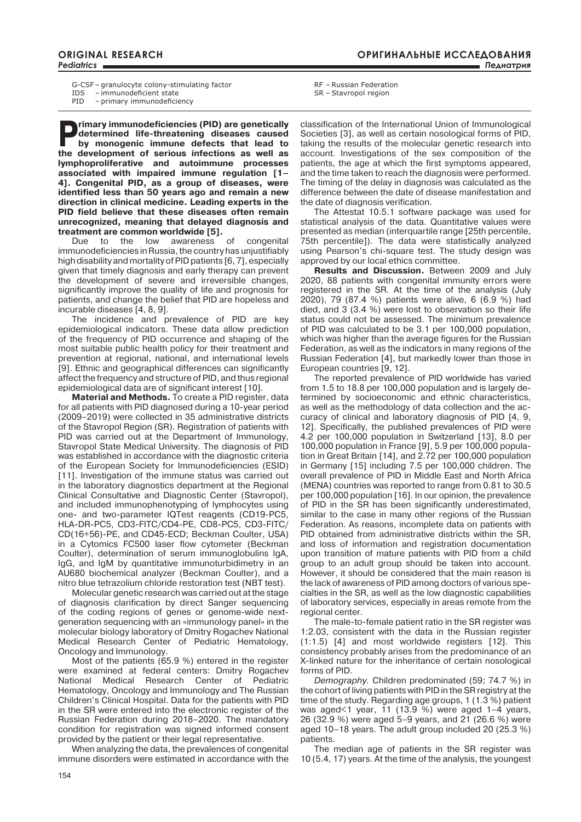G-CSF – granulocyte colony-stimulating factor

IDS – immunodeficient state<br>PID – primary immunodeficient

- primary immunodeficiency

**Primary immunodeficiencies (PID) are genetically determined life-threatening diseases caused by monogenic immune defects that lead to determined life-threatening diseases caused by monogenic immune defects that lead to the development of serious infections as well as lymphoproliferative and autoimmune processes associated with impaired immune regulation [1– 4]. Congenital PID, as a group of diseases, were identified less than 50 years ago and remain a new direction in clinical medicine. Leading experts in the PID field believe that these diseases often remain unrecognized, meaning that delayed diagnosis and** 

**treatment are common worldwide [5].**<br>Due to the low awareness Due to the low awareness of congenital immunodeficiencies in Russia, the country has unjustifiably high disability and mortality of PID patients [6, 7], especially given that timely diagnosis and early therapy can prevent the development of severe and irreversible changes, significantly improve the quality of life and prognosis for patients, and change the belief that PID are hopeless and incurable diseases [4, 8, 9].

The incidence and prevalence of PID are key epidemiological indicators. These data allow prediction of the frequency of PID occurrence and shaping of the most suitable public health policy for their treatment and prevention at regional, national, and international levels [9]. Ethnic and geographical differences can significantly affect the frequency and structure of PID, and thus regional epidemiological data are of significant interest [10].

**Material and methods.** To create a PID register, data for all patients with PID diagnosed during a 10-year period (2009–2019) were collected in 35 administrative districts of the Stavropol Region (SR). Registration of patients with PID was carried out at the Department of Immunology, Stavropol State Medical University. The diagnosis of PID was established in accordance with the diagnostic criteria of the European Society for Immunodeficiencies (ESID) [11]. Investigation of the immune status was carried out in the laboratory diagnostics department at the Regional Clinical Consultative and Diagnostic Center (Stavropol), and included immunophenotyping of lymphocytes using one- and two-parameter IQTest reagents (CD19-PC5, HLA-DR-PC5, CD3-FITC/CD4-PE, CD8-PC5, CD3-FITC/ CD(16+56)-PE, and CD45-ECD; Beckman Coulter, USA) in a Cytomics FC500 laser flow cytometer (Beckman Coulter), determination of serum immunoglobulins IgA, IgG, and IgM by quantitative immunoturbidimetry in an AU680 biochemical analyzer (Beckman Coulter), and a nitro blue tetrazolium chloride restoration test (NBT test).

Molecular genetic research was carried out at the stage of diagnosis clarification by direct Sanger sequencing of the coding regions of genes or genome-wide nextgeneration sequencing with an «immunology panel» in the molecular biology laboratory of Dmitry Rogachev National Medical Research Center of Pediatric Hematology, Oncology and Immunology.

Most of the patients (65.9 %) entered in the register were examined at federal centers: Dmitry Rogachev National Medical Research Center of Pediatric Hematology, Oncology and Immunology and The Russian Children's Clinical Hospital. Data for the patients with PID in the SR were entered into the electronic register of the Russian Federation during 2018–2020. The mandatory condition for registration was signed informed consent provided by the patient or their legal representative.

When analyzing the data, the prevalences of congenital immune disorders were estimated in accordance with the

SR – Stavropol region

classification of the International Union of Immunological Societies [3], as well as certain nosological forms of PID, taking the results of the molecular genetic research into account. Investigations of the sex composition of the patients, the age at which the first symptoms appeared, and the time taken to reach the diagnosis were performed. The timing of the delay in diagnosis was calculated as the difference between the date of disease manifestation and the date of diagnosis verification.

The Attestat 10.5.1 software package was used for statistical analysis of the data. Quantitative values were presented as median (interquartile range [25th percentile, 75th percentile]). The data were statistically analyzed using Pearson's chi-square test. The study design was approved by our local ethics committee.

**Results and Discussion.** Between 2009 and July 2020, 88 patients with congenital immunity errors were registered in the SR. At the time of the analysis (July 2020), 79 (87.4 %) patients were alive, 6 (6.9 %) had died, and 3 (3.4 %) were lost to observation so their life status could not be assessed. The minimum prevalence of PID was calculated to be 3.1 per 100,000 population, which was higher than the average figures for the Russian Federation, as well as the indicators in many regions of the Russian Federation [4], but markedly lower than those in European countries [9, 12].

The reported prevalence of PID worldwide has varied from 1.5 to 18.8 per 100,000 population and is largely determined by socioeconomic and ethnic characteristics, as well as the methodology of data collection and the accuracy of clinical and laboratory diagnosis of PID [4, 9, 12]. Specifically, the published prevalences of PID were 4.2 per 100,000 population in Switzerland [13], 8.0 per 100,000 population in France [9], 5.9 per 100,000 population in Great Britain [14], and 2.72 per 100,000 population in Germany [15] including 7.5 per 100,000 children. The overall prevalence of PID in Middle East and North Africa (MENA) countries was reported to range from 0.81 to 30.5 per 100,000 population [16]. In our opinion, the prevalence of PID in the SR has been significantly underestimated, similar to the case in many other regions of the Russian Federation. As reasons, incomplete data on patients with PID obtained from administrative districts within the SR, and loss of information and registration documentation upon transition of mature patients with PID from a child group to an adult group should be taken into account. However, it should be considered that the main reason is the lack of awareness of PID among doctors of various specialties in the SR, as well as the low diagnostic capabilities of laboratory services, especially in areas remote from the regional center.

The male-to-female patient ratio in the SR register was 1:2.03, consistent with the data in the Russian register (1:1.5) [4] and most worldwide registers [12]. This consistency probably arises from the predominance of an X-linked nature for the inheritance of certain nosological forms of PID.

*Demography.* Children predominated (59; 74.7 %) in the cohort of living patients with PID in the SR registry at the time of the study. Regarding age groups, 1 (1.3 %) patient was aged<1 year, 11 (13.9 %) were aged 1–4 years, 26 (32.9 %) were aged 5–9 years, and 21 (26.6 %) were aged 10–18 years. The adult group included 20 (25.3 %) patients.

The median age of patients in the SR register was 10 (5.4, 17) years. At the time of the analysis, the youngest

RF – Russian Federation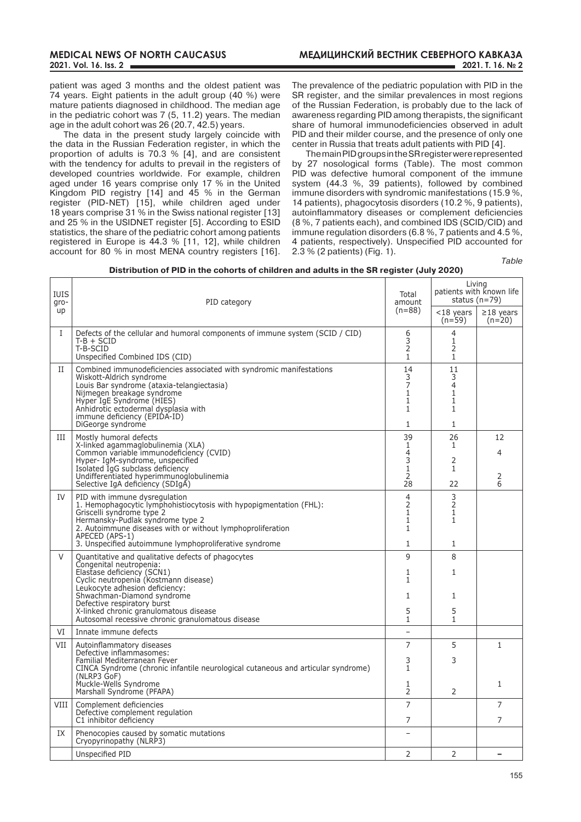patient was aged 3 months and the oldest patient was 74 years. Eight patients in the adult group (40 %) were mature patients diagnosed in childhood. The median age in the pediatric cohort was 7 (5, 11.2) years. The median age in the adult cohort was 26 (20.7, 42.5) years.

The data in the present study largely coincide with the data in the Russian Federation register, in which the proportion of adults is 70.3 % [4], and are consistent with the tendency for adults to prevail in the registers of developed countries worldwide. For example, children aged under 16 years comprise only 17 % in the United Kingdom PID registry [14] and 45 % in the German register (PID-NET) [15], while children aged under 18 years comprise 31 % in the Swiss national register [13] and 25 % in the USIDNET register [5]. According to ESID statistics, the share of the pediatric cohort among patients registered in Europe is 44.3 % [11, 12], while children account for 80 % in most MENA country registers [16]. The prevalence of the pediatric population with PID in the SR register, and the similar prevalences in most regions of the Russian Federation, is probably due to the lack of awareness regarding PID among therapists, the significant share of humoral immunodeficiencies observed in adult PID and their milder course, and the presence of only one center in Russia that treats adult patients with PID [4].

The main PID groups in the SR register were represented by 27 nosological forms (Table). The most common PID was defective humoral component of the immune system (44.3 %, 39 patients), followed by combined immune disorders with syndromic manifestations (15.9 %, 14 patients), phagocytosis disorders (10.2 %, 9 patients), autoinflammatory diseases or complement deficiencies (8 %, 7 patients each), and combined IDS (SCID/CID) and immune regulation disorders (6.8 %, 7 patients and 4.5 %, 4 patients, respectively). Unspecified PID accounted for 2.3 % (2 patients) (Fig. 1).

*Table* 

Living

| <b>IUIS</b><br>gro-<br><b>up</b> | PID category                                                                                                                                                                                                                                                                                                                                       | Total<br>amount<br>$(n=88)$                                            | patients with known life<br>status $(n=79)$                                    |                             |
|----------------------------------|----------------------------------------------------------------------------------------------------------------------------------------------------------------------------------------------------------------------------------------------------------------------------------------------------------------------------------------------------|------------------------------------------------------------------------|--------------------------------------------------------------------------------|-----------------------------|
|                                  |                                                                                                                                                                                                                                                                                                                                                    |                                                                        | $<$ 18 years<br>$(n=59)$                                                       | $\geq$ 18 years<br>$(n=20)$ |
| L                                | Defects of the cellular and humoral components of immune system (SCID / CID)<br>$T-B + SCID$<br>T-B-SCID<br>Unspecified Combined IDS (CID)                                                                                                                                                                                                         | 6<br>3<br>2<br>$\mathbf{1}$                                            | 4<br>1<br>2<br>$\mathbf{1}$                                                    |                             |
| П                                | Combined immunodeficiencies associated with syndromic manifestations<br>Wiskott-Aldrich syndrome<br>Louis Bar syndrome (ataxia-telangiectasia)<br>Nijmegen breakage syndrome<br>Hyper IgE Syndrome (HIES)<br>Anhidrotic ectodermal dysplasia with<br>immune deficiency (EPIDA-ID)<br>DiGeorge syndrome                                             | 14<br>3<br>$\overline{7}$<br>$\mathbf{1}$<br>$\mathbf{1}$<br>1<br>1    | 11<br>3<br>$\overline{4}$<br>$\mathbf{1}$<br>$\mathbf{1}$<br>1<br>$\mathbf{1}$ |                             |
| Ш                                | Mostly humoral defects<br>X-linked agammaglobulinemia (XLA)<br>Common variable immunodeficiency (CVID)<br>Hyper- IgM-syndrome, unspecified<br>Isolated IgG subclass deficiency<br>Undifferentiated hyperimmunoglobulinemia<br>Selective IgA deficiency (SDIgA)                                                                                     | 39<br>$\mathbf{1}$<br>$\overline{4}$<br>3<br>1<br>$\overline{2}$<br>28 | 26<br>1<br>2<br>1<br>22                                                        | 12<br>4<br>$\frac{2}{6}$    |
| TV.                              | PID with immune dysregulation<br>1. Hemophagocytic lymphohistiocytosis with hypopigmentation (FHL):<br>Griscelli syndrome type 2<br>Hermansky-Pudlak syndrome type 2<br>2. Autoimmune diseases with or without lymphoproliferation<br>APECED (APS-1)<br>3. Unspecified autoimmune lymphoproliferative syndrome                                     | $\overline{4}$<br>2<br>$\mathbf{1}$<br>$\mathbf{1}$<br>1<br>1          | 3<br>2<br>$\mathbf{1}$<br>$\mathbf{1}$<br>1                                    |                             |
| V                                | Quantitative and qualitative defects of phagocytes<br>Congenital neutropenia:<br>Elastase deficiency (SCN1)<br>Cyclic neutropenia (Kostmann disease)<br>Leukocyte adhesion deficiency:<br>Shwachman-Diamond syndrome<br>Defective respiratory burst<br>X-linked chronic granulomatous disease<br>Autosomal recessive chronic granulomatous disease | $\mathsf{q}$<br>1<br>$\mathbf{1}$<br>1<br>5<br>1                       | 8<br>$\mathbf{1}$<br>1<br>5<br>1                                               |                             |
| VI                               | Innate immune defects                                                                                                                                                                                                                                                                                                                              |                                                                        |                                                                                |                             |
| VII                              | Autoinflammatory diseases<br>Defective inflammasomes:                                                                                                                                                                                                                                                                                              | 7                                                                      | 5                                                                              | $\mathbf{1}$                |
|                                  | Familial Mediterranean Fever<br>CINCA Syndrome (chronic infantile neurological cutaneous and articular syndrome)<br>(NLRP3 GoF)                                                                                                                                                                                                                    | 3<br>$\mathbf{1}$                                                      | 3                                                                              |                             |
|                                  | Muckle-Wells Syndrome<br>Marshall Syndrome (PFAPA)                                                                                                                                                                                                                                                                                                 | 1<br>$\overline{2}$                                                    | 2                                                                              | $\mathbf{1}$                |
| VIII                             | Complement deficiencies<br>Defective complement regulation                                                                                                                                                                                                                                                                                         | $\overline{7}$                                                         |                                                                                | $\overline{7}$              |
|                                  | C1 inhibitor deficiency                                                                                                                                                                                                                                                                                                                            | 7                                                                      |                                                                                | $\overline{7}$              |
| IX                               | Phenocopies caused by somatic mutations<br>Cryopyrinopathy (NLRP3)                                                                                                                                                                                                                                                                                 |                                                                        |                                                                                |                             |
|                                  | Unspecified PID                                                                                                                                                                                                                                                                                                                                    | $\overline{2}$                                                         | 2                                                                              |                             |

## **Distribution of PID in the cohorts of children and adults in the SR register (July 2020)**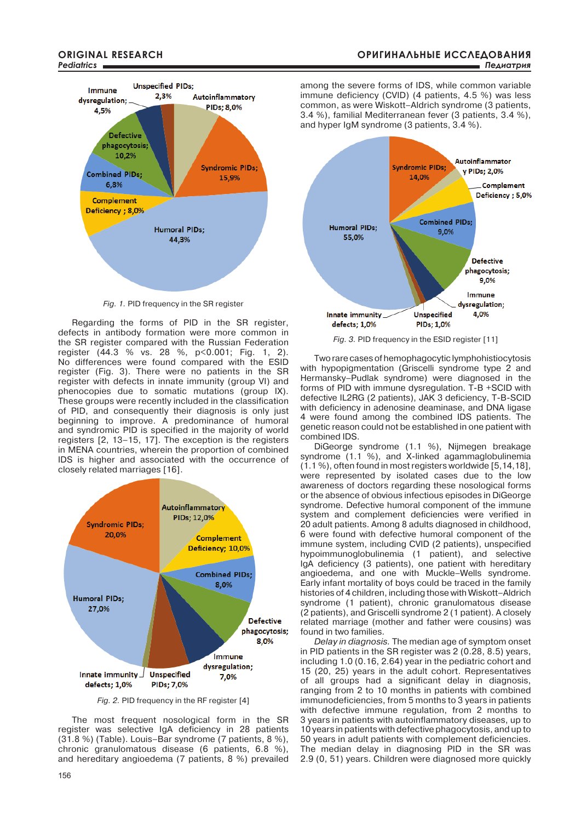

*fig. 1.* PID frequency in the SR register

Regarding the forms of PID in the SR register, defects in antibody formation were more common in the SR register compared with the Russian Federation register (44.3 % vs. 28 %, p<0.001; Fig. 1, 2). No differences were found compared with the ESID register (Fig. 3). There were no patients in the SR register with defects in innate immunity (group VI) and phenocopies due to somatic mutations (group IX). These groups were recently included in the classification of PID, and consequently their diagnosis is only just beginning to improve. A predominance of humoral and syndromic PID is specified in the majority of world registers [2, 13–15, 17]. The exception is the registers in MENA countries, wherein the proportion of combined IDS is higher and associated with the occurrence of closely related marriages [16].



*fig. 2.* PID frequency in the RF register [4]

The most frequent nosological form in the SR register was selective IgA deficiency in 28 patients (31.8 %) (Table). Louis–Bar syndrome (7 patients, 8 %), chronic granulomatous disease (6 patients, 6.8 %), and hereditary angioedema (7 patients, 8 %) prevailed among the severe forms of IDS, while common variable immune deficiency (CVID) (4 patients, 4.5 %) was less common, as were Wiskott–Aldrich syndrome (3 patients, 3.4 %), familial Mediterranean fever (3 patients, 3.4 %), and hyper IgM syndrome (3 patients, 3.4 %).



*fig. 3.* PID frequency in the ESID register [11]

Two rare cases of hemophagocytic lymphohistiocytosis with hypopigmentation (Griscelli syndrome type 2 and Hermansky–Pudlak syndrome) were diagnosed in the forms of PID with immune dysregulation. T-B +SCID with defective IL2RG (2 patients), JAK 3 deficiency, T-B-SCID with deficiency in adenosine deaminase, and DNA ligase 4 were found among the combined IDS patients. The genetic reason could not be established in one patient with combined IDS.

DiGeorge syndrome (1.1 %), Nijmegen breakage syndrome (1.1 %), and X-linked agammaglobulinemia (1.1 %), often found in most registers worldwide [5,14,18], were represented by isolated cases due to the low awareness of doctors regarding these nosological forms or the absence of obvious infectious episodes in DiGeorge syndrome. Defective humoral component of the immune system and complement deficiencies were verified in 20 adult patients. Among 8 adults diagnosed in childhood, 6 were found with defective humoral component of the immune system, including CVID (2 patients), unspecified hypoimmunoglobulinemia (1 patient), and selective IgA deficiency (3 patients), one patient with hereditary angioedema, and one with Muckle–Wells syndrome. Early infant mortality of boys could be traced in the family histories of 4 children, including those with Wiskott–Aldrich syndrome (1 patient), chronic granulomatous disease (2 patients), and Griscelli syndrome 2 (1 patient). A closely related marriage (mother and father were cousins) was found in two families.

*Delay in diagnosis.* The median age of symptom onset in PID patients in the SR register was 2 (0.28, 8.5) years, including 1.0 (0.16, 2.64) year in the pediatric cohort and 15 (20, 25) years in the adult cohort. Representatives of all groups had a significant delay in diagnosis, ranging from 2 to 10 months in patients with combined immunodeficiencies, from 5 months to 3 years in patients with defective immune regulation, from 2 months to 3 years in patients with autoinflammatory diseases, up to 10 years in patients with defective phagocytosis, and up to 50 years in adult patients with complement deficiencies. The median delay in diagnosing PID in the SR was 2.9 (0, 51) years. Children were diagnosed more quickly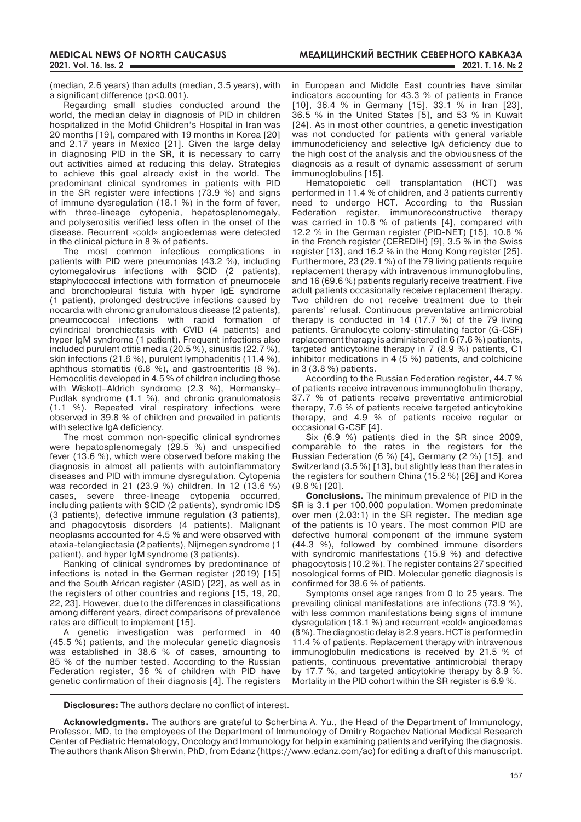(median, 2.6 years) than adults (median, 3.5 years), with a significant difference (p<0.001).

Regarding small studies conducted around the world, the median delay in diagnosis of PID in children hospitalized in the Mofid Children's Hospital in Iran was 20 months [19], compared with 19 months in Korea [20] and 2.17 years in Mexico [21]. Given the large delay in diagnosing PID in the SR, it is necessary to carry out activities aimed at reducing this delay. Strategies to achieve this goal already exist in the world. The predominant clinical syndromes in patients with PID in the SR register were infections (73.9 %) and signs of immune dysregulation (18.1 %) in the form of fever, with three-lineage cytopenia, hepatosplenomegaly, and polyserositis verified less often in the onset of the disease. Recurrent «cold» angioedemas were detected in the clinical picture in 8 % of patients.

The most common infectious complications in patients with PID were pneumonias (43.2 %), including cytomegalovirus infections with SCID (2 patients), staphylococcal infections with formation of pneumocele and bronchopleural fistula with hyper IgE syndrome (1 patient), prolonged destructive infections caused by nocardia with chronic granulomatous disease (2 patients), pneumococcal infections with rapid formation of cylindrical bronchiectasis with CVID (4 patients) and hyper IgM syndrome (1 patient). Frequent infections also included purulent otitis media (20.5 %), sinusitis (22.7 %), skin infections (21.6 %), purulent lymphadenitis (11.4 %). aphthous stomatitis (6.8 %), and gastroenteritis (8 %). Hemocolitis developed in 4.5 % of children including those with Wiskott–Aldrich syndrome (2.3 %), Hermansky– Pudlak syndrome (1.1 %), and chronic granulomatosis (1.1 %). Repeated viral respiratory infections were observed in 39.8 % of children and prevailed in patients with selective IgA deficiency.

The most common non-specific clinical syndromes were hepatosplenomegaly (29.5 %) and unspecified fever (13.6 %), which were observed before making the diagnosis in almost all patients with autoinflammatory diseases and PID with immune dysregulation. Cytopenia was recorded in 21 (23.9 %) children. In 12 (13.6 %) cases, severe three-lineage cytopenia occurred, including patients with SCID (2 patients), syndromic IDS (3 patients), defective immune regulation (3 patients), and phagocytosis disorders (4 patients). Malignant neoplasms accounted for 4.5 % and were observed with ataxia-telangiectasia (2 patients), Nijmegen syndrome (1 patient), and hyper IgM syndrome (3 patients).

Ranking of clinical syndromes by predominance of infections is noted in the German register (2019) [15] and the South African register (ASID) [22], as well as in the registers of other countries and regions [15, 19, 20, 22, 23]. However, due to the differences in classifications among different years, direct comparisons of prevalence rates are difficult to implement [15].

A genetic investigation was performed in 40 (45.5 %) patients, and the molecular genetic diagnosis was established in 38.6 % of cases, amounting to 85 % of the number tested. According to the Russian Federation register, 36 % of children with PID have genetic confirmation of their diagnosis [4]. The registers

in European and Middle East countries have similar indicators accounting for 43.3 % of patients in France [10], 36.4 % in Germany [15], 33.1 % in Iran [23], 36.5 % in the United States [5], and 53 % in Kuwait [24]. As in most other countries, a genetic investigation was not conducted for patients with general variable immunodeficiency and selective IgA deficiency due to the high cost of the analysis and the obviousness of the diagnosis as a result of dynamic assessment of serum immunoglobulins [15].

Hematopoietic cell transplantation (HCT) was performed in 11.4 % of children, and 3 patients currently need to undergo HCT. According to the Russian Federation register, immunoreconstructive therapy was carried in 10.8 % of patients [4], compared with 12.2 % in the German register (PID-NET) [15], 10.8 % in the French register (CEREDIH) [9], 3.5 % in the Swiss register [13], and 16.2 % in the Hong Kong register [25]. Furthermore, 23 (29.1 %) of the 79 living patients require replacement therapy with intravenous immunoglobulins, and 16 (69.6 %) patients regularly receive treatment. Five adult patients occasionally receive replacement therapy. Two children do not receive treatment due to their parents' refusal. Continuous preventative antimicrobial therapy is conducted in 14 (17.7 %) of the 79 living patients. Granulocyte colony-stimulating factor (G-CSF) replacement therapy is administered in 6 (7.6 %) patients, targeted anticytokine therapy in 7 (8.9 %) patients, C1 inhibitor medications in 4 (5 %) patients, and colchicine in 3 (3.8 %) patients.

According to the Russian Federation register, 44.7 % of patients receive intravenous immunoglobulin therapy, 37.7 % of patients receive preventative antimicrobial therapy, 7.6 % of patients receive targeted anticytokine therapy, and 4.9 % of patients receive regular or occasional G-CSF [4].

Six (6.9 %) patients died in the SR since 2009, comparable to the rates in the registers for the Russian Federation (6 %) [4], Germany (2 %) [15], and Switzerland (3.5 %) [13], but slightly less than the rates in the registers for southern China (15.2 %) [26] and Korea (9.8 %) [20].

**Conclusions.** The minimum prevalence of PID in the SR is 3.1 per 100,000 population. Women predominate over men (2.03:1) in the SR register. The median age of the patients is 10 years. The most common PID are defective humoral component of the immune system (44.3 %), followed by combined immune disorders with syndromic manifestations (15.9 %) and defective phagocytosis (10.2 %). The register contains 27 specified nosological forms of PID. Molecular genetic diagnosis is confirmed for 38.6 % of patients.

Symptoms onset age ranges from 0 to 25 years. The prevailing clinical manifestations are infections (73.9 %), with less common manifestations being signs of immune dysregulation (18.1 %) and recurrent «cold» angioedemas (8 %). The diagnostic delay is 2.9 years. HCT is performed in 11.4 % of patients. Replacement therapy with intravenous immunoglobulin medications is received by 21.5 % of patients, continuous preventative antimicrobial therapy by 17.7 %, and targeted anticytokine therapy by 8.9 %. Mortality in the PID cohort within the SR register is 6.9 %.

**Disclosures:** The authors declare no conflict of interest.

**Acknowledgments.** The authors are grateful to Scherbina A. Yu., the Head of the Department of Immunology, Professor, MD, to the employees of the Department of Immunology of Dmitry Rogachev National Medical Research Center of Pediatric Hematology, Oncology and Immunology for help in examining patients and verifying the diagnosis. The authors thank Alison Sherwin, PhD, from Edanz (https://www.edanz.com/ac) for editing a draft of this manuscript.